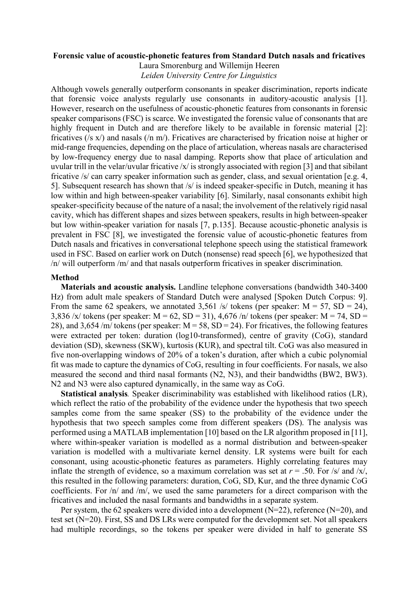#### **Forensic value of acoustic-phonetic features from Standard Dutch nasals and fricatives**

Laura Smorenburg and Willemijn Heeren *Leiden University Centre for Linguistics*

Although vowels generally outperform consonants in speaker discrimination, reports indicate that forensic voice analysts regularly use consonants in auditory-acoustic analysis [1]. However, research on the usefulness of acoustic-phonetic features from consonants in forensic speaker comparisons (FSC) is scarce. We investigated the forensic value of consonants that are highly frequent in Dutch and are therefore likely to be available in forensic material [2]: fricatives (/s x/) and nasals (/n m/). Fricatives are characterised by frication noise at higher or mid-range frequencies, depending on the place of articulation, whereas nasals are characterised by low-frequency energy due to nasal damping. Reports show that place of articulation and uvular trill in the velar/uvular fricative /x/ is strongly associated with region [3] and that sibilant fricative /s/ can carry speaker information such as gender, class, and sexual orientation [e.g. 4, 5]. Subsequent research has shown that /s/ is indeed speaker-specific in Dutch, meaning it has low within and high between-speaker variability [6]. Similarly, nasal consonants exhibit high speaker-specificity because of the nature of a nasal; the involvement of the relatively rigid nasal cavity, which has different shapes and sizes between speakers, results in high between-speaker but low within-speaker variation for nasals [7, p.135]. Because acoustic-phonetic analysis is prevalent in FSC [8], we investigated the forensic value of acoustic-phonetic features from Dutch nasals and fricatives in conversational telephone speech using the statistical framework used in FSC. Based on earlier work on Dutch (nonsense) read speech [6], we hypothesized that /n/ will outperform /m/ and that nasals outperform fricatives in speaker discrimination.

## **Method**

**Materials and acoustic analysis.** Landline telephone conversations (bandwidth 340-3400 Hz) from adult male speakers of Standard Dutch were analysed [Spoken Dutch Corpus: 9]. From the same 62 speakers, we annotated 3,561 /s/ tokens (per speaker:  $M = 57$ ,  $SD = 24$ ), 3,836 /x/ tokens (per speaker:  $M = 62$ ,  $SD = 31$ ), 4,676 /n/ tokens (per speaker:  $M = 74$ ,  $SD =$ 28), and 3,654 /m/ tokens (per speaker:  $M = 58$ ,  $SD = 24$ ). For fricatives, the following features were extracted per token: duration (log10-transformed), centre of gravity (CoG), standard deviation (SD), skewness (SKW), kurtosis (KUR), and spectral tilt. CoG was also measured in five non-overlapping windows of 20% of a token's duration, after which a cubic polynomial fit was made to capture the dynamics of CoG, resulting in four coefficients. For nasals, we also measured the second and third nasal formants (N2, N3), and their bandwidths (BW2, BW3). N2 and N3 were also captured dynamically, in the same way as CoG.

**Statistical analysis***.* Speaker discriminability was established with likelihood ratios (LR), which reflect the ratio of the probability of the evidence under the hypothesis that two speech samples come from the same speaker (SS) to the probability of the evidence under the hypothesis that two speech samples come from different speakers (DS). The analysis was performed using a MATLAB implementation [10] based on the LR algorithm proposed in [11], where within-speaker variation is modelled as a normal distribution and between-speaker variation is modelled with a multivariate kernel density. LR systems were built for each consonant, using acoustic-phonetic features as parameters. Highly correlating features may inflate the strength of evidence, so a maximum correlation was set at  $r = .50$ . For /s/ and /x/, this resulted in the following parameters: duration, CoG, SD, Kur, and the three dynamic CoG coefficients. For /n/ and /m/, we used the same parameters for a direct comparison with the fricatives and included the nasal formants and bandwidths in a separate system.

Per system, the 62 speakers were divided into a development (N=22), reference (N=20), and test set (N=20). First, SS and DS LRs were computed for the development set. Not all speakers had multiple recordings, so the tokens per speaker were divided in half to generate SS